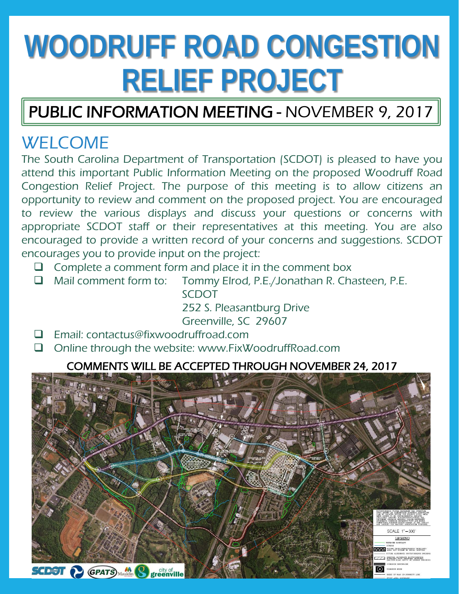# **WOODRUFF ROAD CONGESTION RELIEF PROJECT**

#### PUBLIC INFORMATION MEETING - NOVEMBER 9, 2017

#### **WELCOME**

The South Carolina Department of Transportation (SCDOT) is pleased to have you attend this important Public Information Meeting on the proposed Woodruff Road Congestion Relief Project. The purpose of this meeting is to allow citizens an opportunity to review and comment on the proposed project. You are encouraged to review the various displays and discuss your questions or concerns with appropriate SCDOT staff or their representatives at this meeting. You are also encouraged to provide a written record of your concerns and suggestions. SCDOT encourages you to provide input on the project:

- $\Box$  Complete a comment form and place it in the comment box
- □ Mail comment form to: Tommy Elrod, P.E./Jonathan R. Chasteen, P.E.

SCDOT

252 S. Pleasantburg Drive

Greenville, SC 29607

- **Email: contactus@fixwoodruffroad.com**
- □ Online through the website: www.FixWoodruffRoad.com

#### COMMENTS WILL BE ACCEPTED THROUGH NOVEMBER 24, 2017